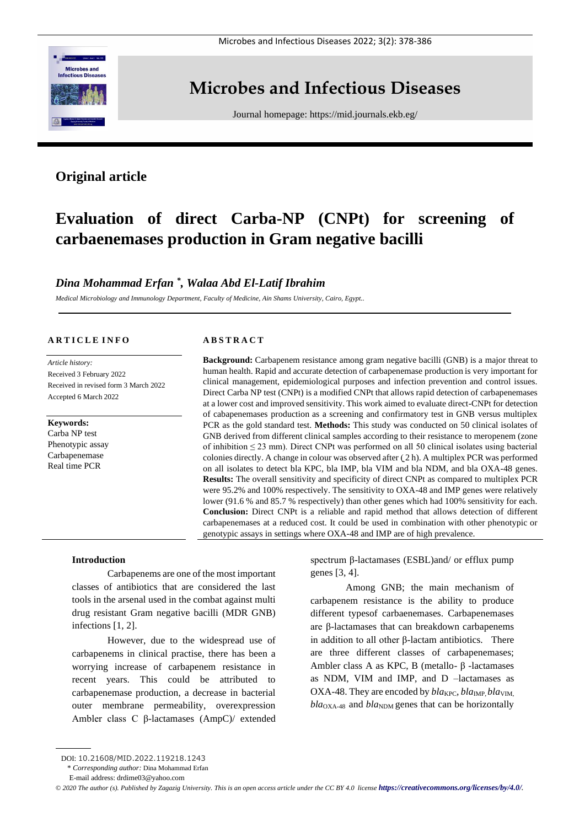

## **Microbes and Infectious Diseases**

Journal homepage:<https://mid.journals.ekb.eg/>

## **Original article**

# **Evaluation of direct Carba-NP (CNPt) for screening of carbaenemases production in Gram negative bacilli**

### *Dina Mohammad Erfan \* , Walaa Abd El-Latif Ibrahim*

*Medical Microbiology and Immunology Department, Faculty of Medicine, Ain Shams University, Cairo, Egypt..*

#### **A R T I C L E I N F O**

*Article history:*  Received 3 February 2022 Received in revised form 3 March 2022 Accepted 6 March 2022

### **Keywords:**

Carba NP test Phenotypic assay Carbapenemase Real time PCR

#### **A B S T R A C T**

**Background:** Carbapenem resistance among gram negative bacilli (GNB) is a major threat to human health. Rapid and accurate detection of carbapenemase production is very important for clinical management, epidemiological purposes and infection prevention and control issues. Direct Carba NP test (CNPt) is a modified CNPt that allows rapid detection of carbapenemases at a lower cost and improved sensitivity. This work aimed to evaluate direct-CNPt for detection of cabapenemases production as a screening and confirmatory test in GNB versus multiplex PCR as the gold standard test. **Methods:** This study was conducted on 50 clinical isolates of GNB derived from different clinical samples according to their resistance to meropenem (zone of inhibition ≤ 23 mm). Direct CNPt was performed on all 50 clinical isolates using bacterial colonies directly. A change in colour was observed after  $(2 h)$ . A multiplex PCR was performed on all isolates to detect bla KPC, bla IMP, bla VIM and bla NDM, and bla OXA-48 genes. **Results:** The overall sensitivity and specificity of direct CNPt as compared to multiplex PCR were 95.2% and 100% respectively. The sensitivity to OXA-48 and IMP genes were relatively lower (91.6 % and 85.7 % respectively) than other genes which had 100% sensitivity for each. **Conclusion:** Direct CNPt is a reliable and rapid method that allows detection of different carbapenemases at a reduced cost. It could be used in combination with other phenotypic or genotypic assays in settings where OXA-48 and IMP are of high prevalence.

#### **Introduction**

Carbapenems are one of the most important classes of antibiotics that are considered the last tools in the arsenal used in the combat against multi drug resistant Gram negative bacilli (MDR GNB) infections [1, 2].

However, due to the widespread use of carbapenems in clinical practise, there has been a worrying increase of carbapenem resistance in recent years. This could be attributed to carbapenemase production, a decrease in bacterial outer membrane permeability, overexpression Ambler class C β-lactamases (AmpC)/ extended

spectrum β-lactamases (ESBL)and/ or efflux pump genes [3, 4].

Among GNB; the main mechanism of carbapenem resistance is the ability to produce different typesof carbaenemases. Carbapenemases are β-lactamases that can breakdown carbapenems in addition to all other β-lactam antibiotics. There are three different classes of carbapenemases; Ambler class A as KPC, B (metallo- β -lactamases as NDM, VIM and IMP, and D –lactamases as OXA-48. They are encoded by  $bla_{\text{KPC}}, bla_{\text{IMP}}, bla_{\text{VIM}}$ ,  $bla<sub>OXA-48</sub>$  and  $bla<sub>NDM</sub>$  genes that can be horizontally

\* *Corresponding author:* Dina Mohammad Erfan

*© 2020 The author (s). Published by Zagazig University. This is an open access article under the CC BY 4.0 license <https://creativecommons.org/licenses/by/4.0/>.*

DOI: 10.21608/MID.2022.119218.1243

E-mail address: drdime03@yahoo.com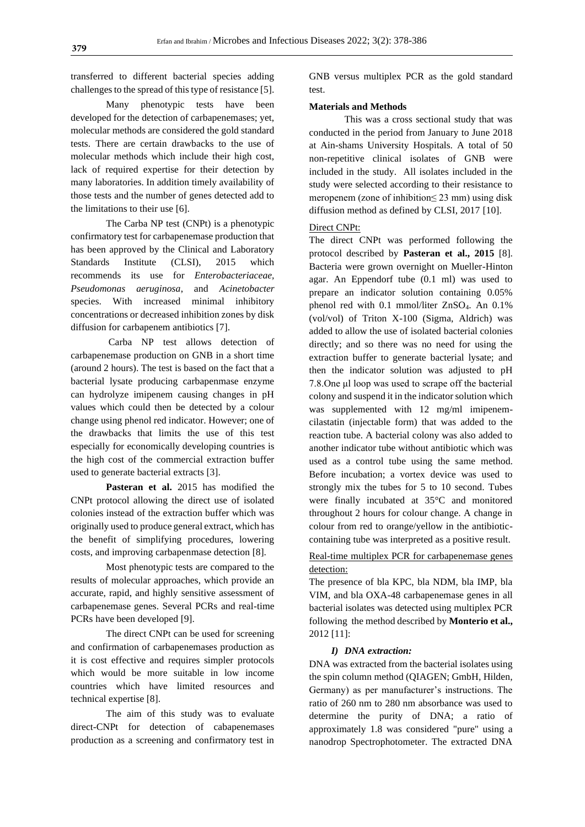transferred to different bacterial species adding challenges to the spread of this type of resistance [5].

Many phenotypic tests have been developed for the detection of carbapenemases; yet, molecular methods are considered the gold standard tests. There are certain drawbacks to the use of molecular methods which include their high cost, lack of required expertise for their detection by many laboratories. In addition timely availability of those tests and the number of genes detected add to the limitations to their use [6].

The Carba NP test (CNPt) is a phenotypic confirmatory test for carbapenemase production that has been approved by the Clinical and Laboratory Standards Institute (CLSI), 2015 which recommends its use for *Enterobacteriaceae, Pseudomonas aeruginosa*, and *Acinetobacter* species. With increased minimal inhibitory concentrations or decreased inhibition zones by disk diffusion for carbapenem antibiotics [7].

Carba NP test allows detection of carbapenemase production on GNB in a short time (around 2 hours). The test is based on the fact that a bacterial lysate producing carbapenmase enzyme can hydrolyze imipenem causing changes in pH values which could then be detected by a colour change using phenol red indicator. However; one of the drawbacks that limits the use of this test especially for economically developing countries is the high cost of the commercial extraction buffer used to generate bacterial extracts [3].

**Pasteran et al.** 2015 has modified the CNPt protocol allowing the direct use of isolated colonies instead of the extraction buffer which was originally used to produce general extract, which has the benefit of simplifying procedures, lowering costs, and improving carbapenmase detection [8].

Most phenotypic tests are compared to the results of molecular approaches, which provide an accurate, rapid, and highly sensitive assessment of carbapenemase genes. Several PCRs and real-time PCRs have been developed [9].

The direct CNPt can be used for screening and confirmation of carbapenemases production as it is cost effective and requires simpler protocols which would be more suitable in low income countries which have limited resources and technical expertise [8].

The aim of this study was to evaluate direct-CNPt for detection of cabapenemases production as a screening and confirmatory test in

GNB versus multiplex PCR as the gold standard test.

#### **Materials and Methods**

This was a cross sectional study that was conducted in the period from January to June 2018 at Ain-shams University Hospitals. A total of 50 non-repetitive clinical isolates of GNB were included in the study. All isolates included in the study were selected according to their resistance to meropenem (zone of inhibition≤ 23 mm) using disk diffusion method as defined by CLSI, 2017 [10].

#### Direct CNPt:

The direct CNPt was performed following the protocol described by **Pasteran et al., 2015** [8]. Bacteria were grown overnight on Mueller-Hinton agar. An Eppendorf tube (0.1 ml) was used to prepare an indicator solution containing 0.05% phenol red with 0.1 mmol/liter ZnSO4. An 0.1% (vol/vol) of Triton X-100 (Sigma, Aldrich) was added to allow the use of isolated bacterial colonies directly; and so there was no need for using the extraction buffer to generate bacterial lysate; and then the indicator solution was adjusted to pH 7.8.One μl loop was used to scrape off the bacterial colony and suspend it in the indicator solution which was supplemented with 12 mg/ml imipenemcilastatin (injectable form) that was added to the reaction tube. A bacterial colony was also added to another indicator tube without antibiotic which was used as a control tube using the same method. Before incubation; a vortex device was used to strongly mix the tubes for 5 to 10 second. Tubes were finally incubated at 35°C and monitored throughout 2 hours for colour change. A change in colour from red to orange/yellow in the antibioticcontaining tube was interpreted as a positive result.

#### Real-time multiplex PCR for carbapenemase genes detection:

The presence of bla KPC, bla NDM, bla IMP, bla VIM, and bla OXA-48 carbapenemase genes in all bacterial isolates was detected using multiplex PCR following the method described by **Monterio et al.,** 2012 [11]:

#### *I) DNA extraction:*

DNA was extracted from the bacterial isolates using the spin column method (QIAGEN; GmbH, Hilden, Germany) as per manufacturer's instructions. The ratio of 260 nm to 280 nm absorbance was used to determine the purity of DNA; a ratio of approximately 1.8 was considered "pure" using a nanodrop Spectrophotometer. The extracted DNA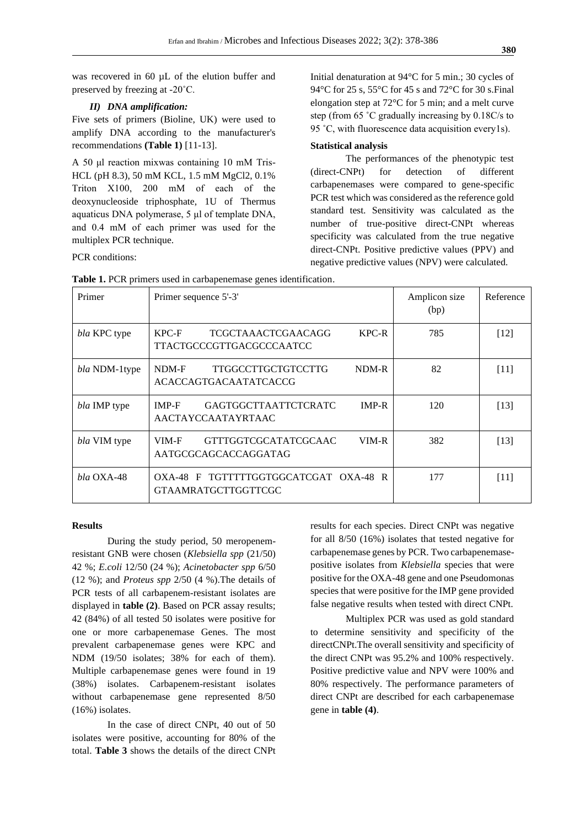was recovered in 60  $\mu$ L of the elution buffer and preserved by freezing at -20˚C.

#### *II) DNA amplification:*

Five sets of primers (Bioline, UK) were used to amplify DNA according to the manufacturer's recommendations **(Table 1)** [11-13].

A 50 μl reaction mixwas containing 10 mM Tris-HCL (pH 8.3), 50 mM KCL, 1.5 mM MgCl2, 0.1% Triton X100, 200 mΜ of each of the deoxynucleoside triphosphate, 1U of Thermus aquaticus DNA polymerase, 5 μl of template DNA, and 0.4 mΜ of each primer was used for the multiplex PCR technique.

PCR conditions:

Initial denaturation at 94°C for 5 min.; 30 cycles of 94°C for 25 s, 55°C for 45 s and 72°C for 30 s.Final elongation step at 72°C for 5 min; and a melt curve step (from 65 ˚C gradually increasing by 0.18C/s to 95 ˚C, with fluorescence data acquisition every1s).

#### **Statistical analysis**

The performances of the phenotypic test (direct-CNPt) for detection of different carbapenemases were compared to gene-specific PCR test which was considered as the reference gold standard test. Sensitivity was calculated as the number of true-positive direct-CNPt whereas specificity was calculated from the true negative direct-CNPt. Positive predictive values (PPV) and negative predictive values (NPV) were calculated.

| Primer          | Primer sequence 5'-3'                                                               | Amplicon size<br>(bp) | Reference |
|-----------------|-------------------------------------------------------------------------------------|-----------------------|-----------|
| bla KPC type    | $KPC-R$<br>$KPC-F$<br><b>TCGCTAAACTCGAACAGG</b><br>TTACTGCCCGTTGACGCCCAATCC         | 785                   | $[12]$    |
| bla NDM-1type   | <b>TTGGCCTTGCTGTCCTTG</b><br>NDM-R<br>NDM-F<br><b>ACACCAGTGACAATATCACCG</b>         | 82                    | $[11]$    |
| bla IMP type    | <b>GAGTGGCTTAATTCTCRATC</b><br>$IMP-R$<br><b>IMP-F</b><br><b>AACTAYCCAATAYRTAAC</b> | 120                   | [13]      |
| bla VIM type    | $VIM-R$<br>VIM-F<br>GTTTGGTCGCATATCGCAAC<br>AATGCGCAGCACCAGGATAG                    | 382                   | [13]      |
| $bla$ $OX$ A-48 | OXA-48 F TGTTTTTGGTGGCATCGAT OXA-48 R<br><b>GTAAMRATGCTTGGTTCGC</b>                 | 177                   | [11]      |

**Table 1.** PCR primers used in carbapenemase genes identification.

#### **Results**

During the study period, 50 meropenemresistant GNB were chosen (*Klebsiella spp* (21/50) 42 %; *E.coli* 12/50 (24 %); *Acinetobacter spp* 6/50 (12 %); and *Proteus spp* 2/50 (4 %).The details of PCR tests of all carbapenem-resistant isolates are displayed in **table (2)**. Based on PCR assay results; 42 (84%) of all tested 50 isolates were positive for one or more carbapenemase Genes. The most prevalent carbapenemase genes were KPC and NDM (19/50 isolates; 38% for each of them). Multiple carbapenemase genes were found in 19 (38%) isolates. Carbapenem-resistant isolates without carbapenemase gene represented 8/50 (16%) isolates.

In the case of direct CNPt, 40 out of 50 isolates were positive, accounting for 80% of the total. **Table 3** shows the details of the direct CNPt

results for each species. Direct CNPt was negative for all 8/50 (16%) isolates that tested negative for carbapenemase genes by PCR. Two carbapenemasepositive isolates from *Klebsiella* species that were positive for the OXA-48 gene and one Pseudomonas species that were positive for the IMP gene provided false negative results when tested with direct CNPt.

Multiplex PCR was used as gold standard to determine sensitivity and specificity of the directCNPt.The overall sensitivity and specificity of the direct CNPt was 95.2% and 100% respectively. Positive predictive value and NPV were 100% and 80% respectively. The performance parameters of direct CNPt are described for each carbapenemase gene in **table (4)**.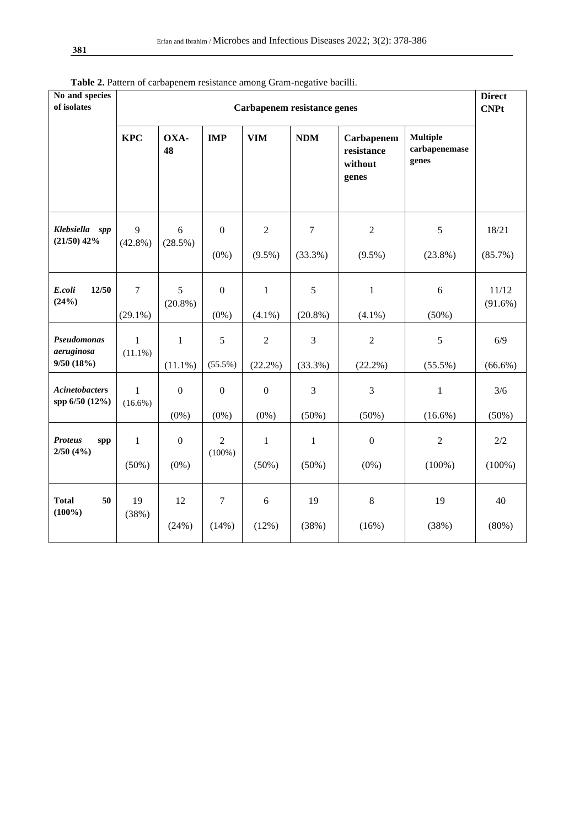| No and species<br>of isolates           | Carbapenem resistance genes |                             |                             |                             |                           | <b>Direct</b><br><b>CNPt</b>                 |                                           |                     |
|-----------------------------------------|-----------------------------|-----------------------------|-----------------------------|-----------------------------|---------------------------|----------------------------------------------|-------------------------------------------|---------------------|
|                                         | <b>KPC</b>                  | OXA-<br>48                  | <b>IMP</b>                  | <b>VIM</b>                  | <b>NDM</b>                | Carbapenem<br>resistance<br>without<br>genes | <b>Multiple</b><br>carbapenemase<br>genes |                     |
| Klebsiella spp<br>$(21/50)$ 42%         | 9<br>$(42.8\%)$             | 6<br>(28.5%)                | $\mathbf{0}$<br>$(0\%)$     | $\sqrt{2}$<br>$(9.5\%)$     | $\overline{7}$<br>(33.3%) | $\sqrt{2}$<br>$(9.5\%)$                      | 5<br>$(23.8\%)$                           | 18/21<br>(85.7%)    |
| 12/50<br>E. coli<br>(24%)               | $\tau$<br>$(29.1\%)$        | 5<br>$(20.8\%)$             | $\mathbf{0}$<br>$(0\%)$     | $\mathbf{1}$<br>$(4.1\%)$   | 5<br>$(20.8\%)$           | $\mathbf{1}$<br>$(4.1\%)$                    | 6<br>$(50\%)$                             | 11/12<br>$(91.6\%)$ |
| Pseudomonas<br>aeruginosa<br>9/50(18%)  | $\mathbf{1}$<br>$(11.1\%)$  | $\mathbf{1}$<br>$(11.1\%)$  | 5<br>$(55.5\%)$             | $\sqrt{2}$<br>$(22.2\%)$    | 3<br>(33.3%)              | $\sqrt{2}$<br>$(22.2\%)$                     | $\mathfrak s$<br>$(55.5\%)$               | 6/9<br>$(66.6\%)$   |
| <b>Acinetobacters</b><br>spp 6/50 (12%) | $\mathbf{1}$<br>$(16.6\%)$  | $\boldsymbol{0}$<br>$(0\%)$ | $\boldsymbol{0}$<br>$(0\%)$ | $\boldsymbol{0}$<br>$(0\%)$ | $\mathfrak{Z}$<br>(50%)   | $\mathfrak{Z}$<br>(50%)                      | $\mathbf{1}$<br>$(16.6\%)$                | 3/6<br>(50%)        |
| <b>Proteus</b><br>spp<br>2/50(4%)       | $\mathbf{1}$<br>(50%)       | $\boldsymbol{0}$<br>$(0\%)$ | $\overline{2}$<br>$(100\%)$ | $\mathbf{1}$<br>$(50\%)$    | $\mathbf{1}$<br>$(50\%)$  | $\boldsymbol{0}$<br>$(0\%)$                  | $\overline{2}$<br>$(100\%)$               | 2/2<br>$(100\%)$    |
| <b>Total</b><br>50<br>$(100\%)$         | 19<br>(38%)                 | 12<br>(24%)                 | $\boldsymbol{7}$<br>(14%)   | $6\,$<br>(12%)              | 19<br>(38%)               | $\,8\,$<br>(16%)                             | 19<br>(38%)                               | 40<br>(80%)         |

**Table 2.** Pattern of carbapenem resistance among Gram-negative bacilli.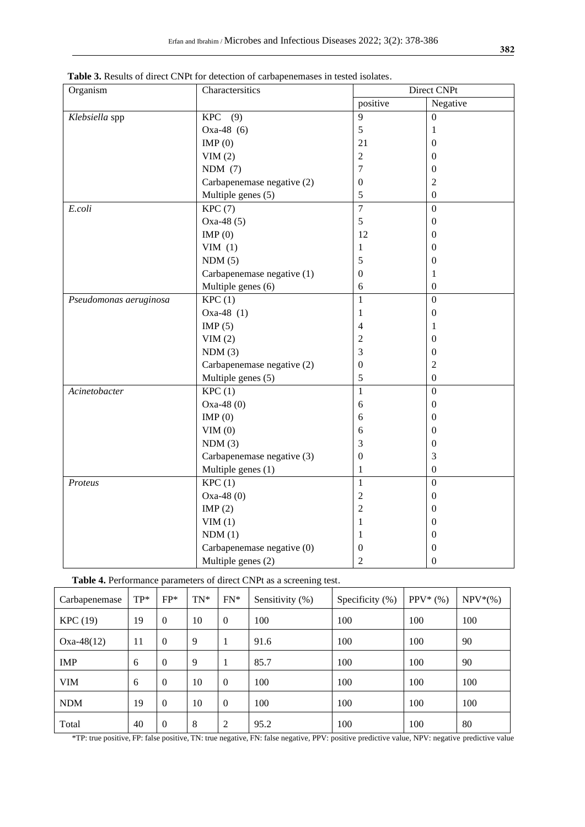| Organism               | hon of caroupenemables in tested homeos.<br>Charactersitics | Direct CNPt      |                  |  |  |
|------------------------|-------------------------------------------------------------|------------------|------------------|--|--|
|                        |                                                             | positive         | Negative         |  |  |
| Klebsiella spp         | $KPC$ (9)                                                   | 9                | $\Omega$         |  |  |
|                        | Oxa-48 $(6)$                                                | 5                | 1                |  |  |
|                        | IMP $(0)$                                                   | 21               | $\overline{0}$   |  |  |
|                        | VIM(2)                                                      | $\overline{2}$   | $\overline{0}$   |  |  |
|                        | NDM(7)                                                      | $\overline{7}$   | $\mathbf{0}$     |  |  |
|                        | Carbapenemase negative (2)                                  | 0                | $\mathfrak{2}$   |  |  |
|                        | Multiple genes (5)                                          | 5                | $\Omega$         |  |  |
| E.coli                 | KPC(7)                                                      | $\overline{7}$   | $\Omega$         |  |  |
|                        | Oxa-48 $(5)$                                                | 5                | $\boldsymbol{0}$ |  |  |
|                        | IMP(0)                                                      | 12               | $\overline{0}$   |  |  |
|                        | VIM $(1)$                                                   | 1                | $\mathbf{0}$     |  |  |
|                        | NDM(5)                                                      | 5                | $\mathbf{0}$     |  |  |
|                        | Carbapenemase negative (1)                                  | $\boldsymbol{0}$ | 1                |  |  |
|                        | Multiple genes (6)                                          | 6                | $\mathbf{0}$     |  |  |
| Pseudomonas aeruginosa | KPC(1)                                                      | $\mathbf{1}$     | $\mathbf{0}$     |  |  |
|                        | Oxa-48 $(1)$                                                | 1                | $\boldsymbol{0}$ |  |  |
|                        | IMP $(5)$                                                   | 4                | 1                |  |  |
|                        | VIM(2)                                                      | $\overline{c}$   | $\boldsymbol{0}$ |  |  |
|                        | NDM(3)                                                      | 3                | $\boldsymbol{0}$ |  |  |
|                        | Carbapenemase negative (2)                                  | $\boldsymbol{0}$ | $\overline{2}$   |  |  |
|                        | Multiple genes (5)                                          | 5                | $\mathbf{0}$     |  |  |
| Acinetobacter          | KPC(1)                                                      | 1                | $\mathbf{0}$     |  |  |
|                        | $Oxa-48(0)$                                                 | 6                | $\mathbf{0}$     |  |  |
|                        | IMP(0)                                                      | 6                | $\mathbf{0}$     |  |  |
|                        | VIM(0)                                                      | 6                | $\mathbf{0}$     |  |  |
|                        | NDM(3)                                                      | 3                | $\mathbf{0}$     |  |  |
|                        | Carbapenemase negative (3)                                  | $\boldsymbol{0}$ | 3                |  |  |
|                        | Multiple genes (1)                                          | $\mathbf{1}$     | $\mathbf{0}$     |  |  |
| Proteus                | KPC(1)                                                      | $\mathbf{1}$     | $\boldsymbol{0}$ |  |  |
|                        | $Oxa-48(0)$                                                 | $\overline{c}$   | $\boldsymbol{0}$ |  |  |
|                        | IMP $(2)$                                                   | $\overline{c}$   | $\mathbf{0}$     |  |  |
|                        | VIM(1)                                                      | 1                | $\mathbf{0}$     |  |  |
|                        | NDM(1)                                                      | 1                | $\mathbf{0}$     |  |  |
|                        | Carbapenemase negative (0)                                  | $\mathbf{0}$     | $\mathbf{0}$     |  |  |
|                        | Multiple genes (2)                                          | $\overline{2}$   | $\mathbf{0}$     |  |  |

**Table 3.** Results of direct CNPt for detection of carbapenemases in tested isolates.

**Table 4.** Performance parameters of direct CNPt as a screening test.

| Carbapenemase | $TP*$ | $FP*$            | $TN^*$ | $FN*$        | Sensitivity $(\%)$ | Specificity (%) | $PPV^*(\%)$ | $NPV*(\%)$ |
|---------------|-------|------------------|--------|--------------|--------------------|-----------------|-------------|------------|
| KPC (19)      | 19    | $\mathbf{0}$     | 10     | $\mathbf{0}$ | 100                | 100             | 100         | 100        |
| $Oxa-48(12)$  | 11    | $\mathbf{0}$     | 9      |              | 91.6               | 100             | 100         | 90         |
| <b>IMP</b>    | 6     | $\mathbf{0}$     | 9      |              | 85.7               | 100             | 100         | 90         |
| <b>VIM</b>    | 6     | $\theta$         | 10     | $\Omega$     | 100                | 100             | 100         | 100        |
| <b>NDM</b>    | 19    | $\mathbf{0}$     | 10     | $\mathbf{0}$ | 100                | 100             | 100         | 100        |
| Total         | 40    | $\boldsymbol{0}$ | 8      | 2            | 95.2               | 100             | 100         | 80         |

\*TP: true positive, FP: false positive, TN: true negative, FN: false negative, PPV: positive predictive value, NPV: negative predictive value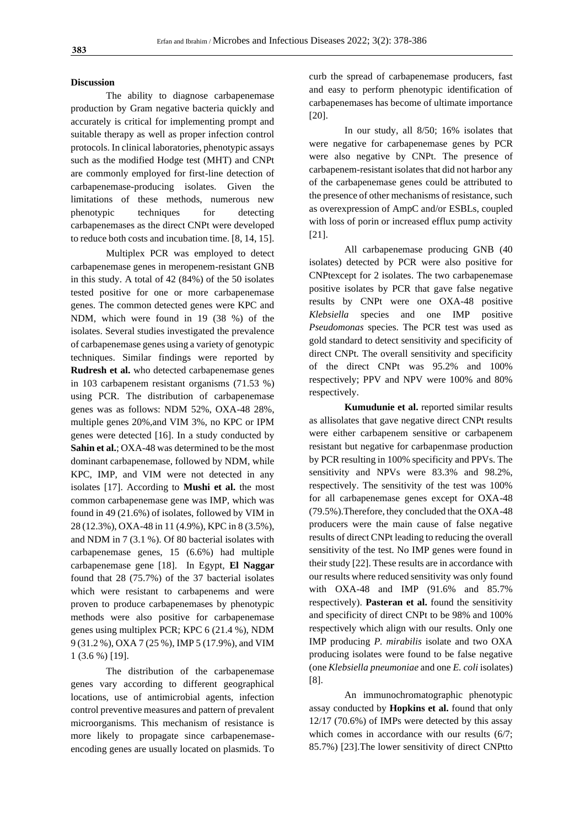#### **Discussion**

The ability to diagnose carbapenemase production by Gram negative bacteria quickly and accurately is critical for implementing prompt and suitable therapy as well as proper infection control protocols. In clinical laboratories, phenotypic assays such as the modified Hodge test (MHT) and CNPt are commonly employed for first-line detection of carbapenemase-producing isolates. Given the limitations of these methods, numerous new phenotypic techniques for detecting carbapenemases as the direct CNPt were developed to reduce both costs and incubation time. [8, 14, 15].

Multiplex PCR was employed to detect carbapenemase genes in meropenem-resistant GNB in this study. A total of 42 (84%) of the 50 isolates tested positive for one or more carbapenemase genes. The common detected genes were KPC and NDM, which were found in 19 (38 %) of the isolates. Several studies investigated the prevalence of carbapenemase genes using a variety of genotypic techniques. Similar findings were reported by **Rudresh et al.** who detected carbapenemase genes in 103 carbapenem resistant organisms (71.53 %) using PCR. The distribution of carbapenemase genes was as follows: NDM 52%, OXA-48 28%, multiple genes 20%,and VIM 3%, no KPC or IPM genes were detected [16]. In a study conducted by **Sahin et al.**; OXA-48 was determined to be the most dominant carbapenemase, followed by NDM, while KPC, IMP, and VIM were not detected in any isolates [17]. According to **Mushi et al.** the most common carbapenemase gene was IMP, which was found in 49 (21.6%) of isolates, followed by VIM in 28 (12.3%), OXA-48 in 11 (4.9%), KPC in 8 (3.5%), and NDM in 7 (3.1 %). Of 80 bacterial isolates with carbapenemase genes, 15 (6.6%) had multiple carbapenemase gene [18]. In Egypt, **El Naggar** found that 28 (75.7%) of the 37 bacterial isolates which were resistant to carbapenems and were proven to produce carbapenemases by phenotypic methods were also positive for carbapenemase genes using multiplex PCR; KPC 6 (21.4 %), NDM 9 (31.2 %), OXA 7 (25 %), IMP 5 (17.9%), and VIM 1 (3.6 %) [19].

The distribution of the carbapenemase genes vary according to different geographical locations, use of antimicrobial agents, infection control preventive measures and pattern of prevalent microorganisms. This mechanism of resistance is more likely to propagate since carbapenemaseencoding genes are usually located on plasmids. To curb the spread of carbapenemase producers, fast and easy to perform phenotypic identification of carbapenemases has become of ultimate importance [20].

In our study, all 8/50; 16% isolates that were negative for carbapenemase genes by PCR were also negative by CNPt. The presence of carbapenem-resistant isolates that did not harbor any of the carbapenemase genes could be attributed to the presence of other mechanisms of resistance, such as overexpression of AmpC and/or ESBLs, coupled with loss of porin or increased efflux pump activity [21].

All carbapenemase producing GNB (40 isolates) detected by PCR were also positive for CNPtexcept for 2 isolates. The two carbapenemase positive isolates by PCR that gave false negative results by CNPt were one OXA-48 positive *Klebsiella* species and one IMP positive *Pseudomonas* species. The PCR test was used as gold standard to detect sensitivity and specificity of direct CNPt. The overall sensitivity and specificity of the direct CNPt was 95.2% and 100% respectively; PPV and NPV were 100% and 80% respectively.

**Kumudunie et al.** reported similar results as allisolates that gave negative direct CNPt results were either carbapenem sensitive or carbapenem resistant but negative for carbapenmase production by PCR resulting in 100% specificity and PPVs. The sensitivity and NPVs were 83.3% and 98.2%, respectively. The sensitivity of the test was 100% for all carbapenemase genes except for OXA-48 (79.5%).Therefore, they concluded that the OXA-48 producers were the main cause of false negative results of direct CNPt leading to reducing the overall sensitivity of the test. No IMP genes were found in their study [22]. These results are in accordance with our results where reduced sensitivity was only found with OXA-48 and IMP (91.6% and 85.7% respectively). **Pasteran et al.** found the sensitivity and specificity of direct CNPt to be 98% and 100% respectively which align with our results. Only one IMP producing *P. mirabilis* isolate and two OXA producing isolates were found to be false negative (one *Klebsiella pneumoniae* and one *E. coli* isolates) [8].

An immunochromatographic phenotypic assay conducted by **Hopkins et al.** found that only 12/17 (70.6%) of IMPs were detected by this assay which comes in accordance with our results  $(6/7;$ 85.7%) [23].The lower sensitivity of direct CNPtto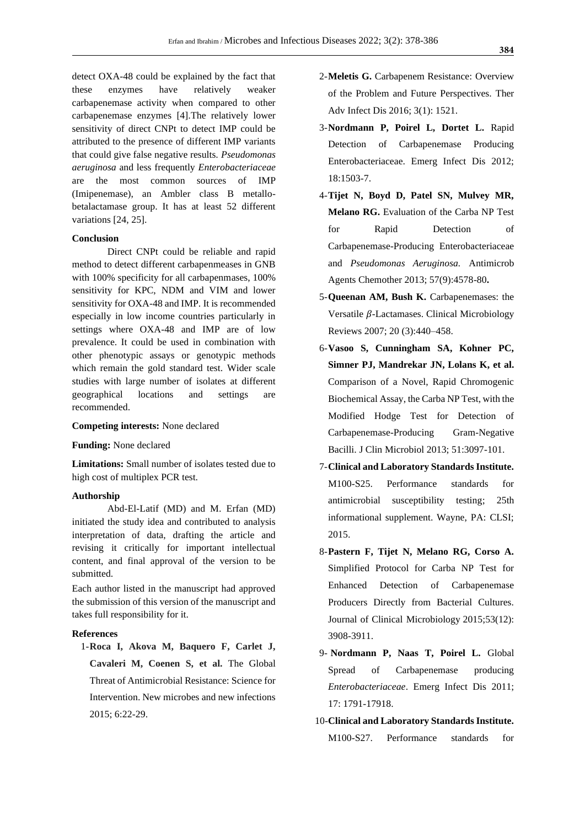detect OXA-48 could be explained by the fact that these enzymes have relatively weaker carbapenemase activity when compared to other carbapenemase enzymes [4].The relatively lower sensitivity of direct CNPt to detect IMP could be attributed to the presence of different IMP variants that could give false negative results. *Pseudomonas aeruginosa* and less frequently *Enterobacteriaceae*  are the most common sources of IMP (Imipenemase), an Ambler class B metallobetalactamase group. It has at least 52 different variations [24, 25].

#### **Conclusion**

Direct CNPt could be reliable and rapid method to detect different carbapenmeases in GNB with 100% specificity for all carbapenmases, 100% sensitivity for KPC, NDM and VIM and lower sensitivity for OXA-48 and IMP. It is recommended especially in low income countries particularly in settings where OXA-48 and IMP are of low prevalence. It could be used in combination with other phenotypic assays or genotypic methods which remain the gold standard test. Wider scale studies with large number of isolates at different geographical locations and settings are recommended.

#### **Competing interests:** None declared

#### **Funding:** None declared

**Limitations:** Small number of isolates tested due to high cost of multiplex PCR test.

#### **Authorship**

Abd-El-Latif (MD) and M. Erfan (MD) initiated the study idea and contributed to analysis interpretation of data, drafting the article and revising it critically for important intellectual content, and final approval of the version to be submitted.

Each author listed in the manuscript had approved the submission of this version of the manuscript and takes full responsibility for it.

#### **References**

1-**Roca I, Akova M, Baquero F, Carlet J, Cavaleri M, Coenen S, et al.** The Global Threat of Antimicrobial Resistance: Science for Intervention. New microbes and new infections 2015; 6:22-29.

- 2-**Meletis G.** Carbapenem Resistance: Overview of the Problem and Future Perspectives. Ther Adv Infect Dis 2016; 3(1): 1521.
- 3-**Nordmann P, Poirel L, Dortet L.** Rapid Detection of Carbapenemase Producing Enterobacteriaceae. Emerg Infect Dis 2012; 18:1503-7.
- 4-**Tijet N, Boyd D, Patel SN, Mulvey MR, Melano RG.** Evaluation of the Carba NP Test for Rapid Detection of Carbapenemase-Producing Enterobacteriaceae and *Pseudomonas Aeruginosa.* Antimicrob Agents Chemother 2013; 57(9):4578-80**.**
- 5-**Queenan AM, Bush K.** Carbapenemases: the Versatile  $\beta$ -Lactamases. Clinical Microbiology Reviews 2007; 20 (3):440–458.
- 6-**Vasoo S, Cunningham SA, Kohner PC, Simner PJ, Mandrekar JN, Lolans K, et al.** Comparison of a Novel, Rapid Chromogenic Biochemical Assay, the Carba NP Test, with the Modified Hodge Test for Detection of Carbapenemase-Producing Gram-Negative Bacilli. J Clin Microbiol 2013; 51:3097-101.
- 7-**Clinical and Laboratory Standards Institute.** M100-S25. Performance standards for antimicrobial susceptibility testing; 25th informational supplement. Wayne, PA: CLSI; 2015.
- 8-**Pastern F, Tijet N, Melano RG, Corso A.** Simplified Protocol for Carba NP Test for Enhanced Detection of Carbapenemase Producers Directly from Bacterial Cultures. [Journal of Clinical Microbiology](https://www.researchgate.net/journal/Journal-of-Clinical-Microbiology-1098-660X) 2015;53(12): 3908-3911.
- 9- **Nordmann P, Naas T, Poirel L.** Global Spread of Carbapenemase producing *Enterobacteriaceae*. Emerg Infect Dis 2011; 17: 1791-17918.
- 10-**Clinical and Laboratory Standards Institute.** M100-S27. Performance standards for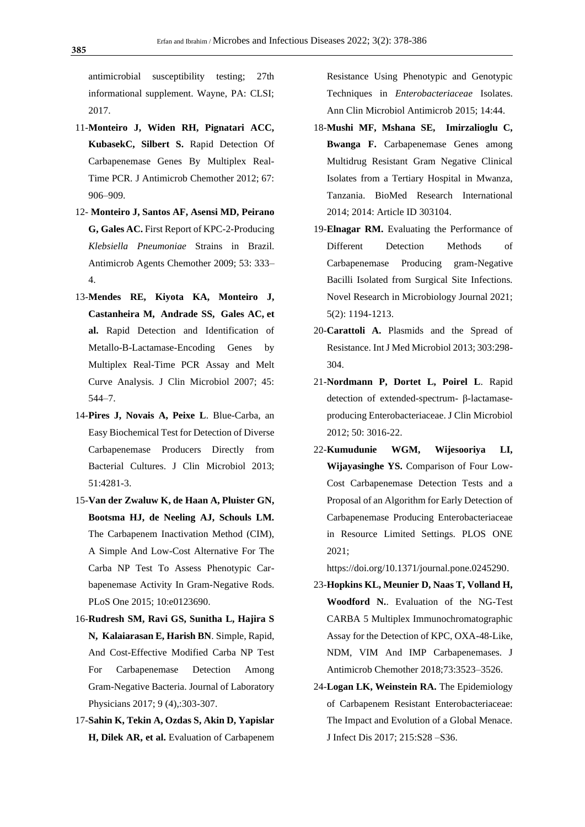antimicrobial susceptibility testing; 27th informational supplement. Wayne, PA: CLSI; 2017.

- 11-**Monteiro J, Widen RH, Pignatari ACC, KubasekC, Silbert S.** Rapid Detection Of Carbapenemase Genes By Multiplex Real-Time PCR. J Antimicrob Chemother 2012; 67: 906–909.
- 12- **Monteiro J, Santos AF, Asensi MD, [Peirano](https://pubmed.ncbi.nlm.nih.gov/?term=Peirano+G&cauthor_id=19015350) G, [Gales](https://pubmed.ncbi.nlm.nih.gov/?term=Gales+AC&cauthor_id=19015350) AC.** First Report of KPC-2-Producing *Klebsiella Pneumoniae* Strains in Brazil. Antimicrob Agents Chemother 2009; 53: 333– 4.
- 13-**Mendes RE, Kiyota KA, Monteiro J, [Castanheira](https://pubmed.ncbi.nlm.nih.gov/?term=Castanheira+M&cauthor_id=17093019) M, Andrade SS, Gales AC, et al.** Rapid Detection and Identification of Metallo-B-Lactamase-Encoding Genes by Multiplex Real-Time PCR Assay and Melt Curve Analysis. J Clin Microbiol 2007; 45: 544–7.
- 14-**Pires J, Novais A, Peixe L**. Blue-Carba, an Easy Biochemical Test for Detection of Diverse Carbapenemase Producers Directly from Bacterial Cultures. J Clin Microbiol 2013; 51:4281-3.
- 15-**Van der Zwaluw K, de Haan A, Pluister GN, Bootsma HJ, de Neeling AJ, Schouls LM.** The Carbapenem Inactivation Method (CIM), A Simple And Low-Cost Alternative For The Carba NP Test To Assess Phenotypic Carbapenemase Activity In Gram-Negative Rods. PLoS One 2015; 10:e0123690.
- 16-**Rudresh SM, Ravi GS, Sunitha L, Hajira S N, Kalaiarasan E, Harish BN**. Simple, Rapid, And Cost-Effective Modified Carba NP Test For Carbapenemase Detection Among Gram-Negative Bacteria. Journal of Laboratory Physicians 2017; 9 (4),:303-307.
- 17-**Sahin K, Tekin A, Ozdas S, Akin D, Yapislar H, Dilek AR, et al.** Evaluation of Carbapenem

Resistance Using Phenotypic and Genotypic Techniques in *Enterobacteriaceae* Isolates. Ann Clin Microbiol Antimicrob 2015; 14:44.

- 18-**Mushi MF, Mshana SE, Imirzalioglu C, Bwanga F.** Carbapenemase Genes among Multidrug Resistant Gram Negative Clinical Isolates from a Tertiary Hospital in Mwanza, Tanzania. BioMed Research International 2014; 2014: Article ID 303104.
- 19-**Elnagar RM.** Evaluating the Performance of Different Detection Methods of Carbapenemase Producing gram-Negative Bacilli Isolated from Surgical Site Infections. Novel Research in Microbiology Journal 2021; 5(2): 1194-1213.
- 20-**Carattoli A.** Plasmids and the Spread of Resistance. Int J Med Microbiol 2013; 303:298- 304.
- 21-**Nordmann P, Dortet L, Poirel L**. Rapid detection of extended-spectrum- β-lactamaseproducing Enterobacteriaceae. J Clin Microbiol 2012; 50: 3016-22.
- 22-**Kumudunie WGM, Wijesooriya LI, Wijayasinghe YS.** Comparison of Four Low-Cost Carbapenemase Detection Tests and a Proposal of an Algorithm for Early Detection of Carbapenemase Producing Enterobacteriaceae in Resource Limited Settings. PLOS ONE 2021;

[https://doi.org/10.1371/journal.pone.0245290.](https://doi.org/10.1371/journal.pone.0245290)

- 23-**Hopkins KL, Meunier D, Naas T, Volland H, Woodford N.**. Evaluation of the NG-Test CARBA 5 Multiplex Immunochromatographic Assay for the Detection of KPC, OXA-48-Like, NDM, VIM And IMP Carbapenemases. J Antimicrob Chemother 2018;73:3523–3526.
- 24-**Logan LK, Weinstein RA.** The Epidemiology of Carbapenem Resistant Enterobacteriaceae: The Impact and Evolution of a Global Menace. J Infect Dis 2017; 215:S28 –S36.